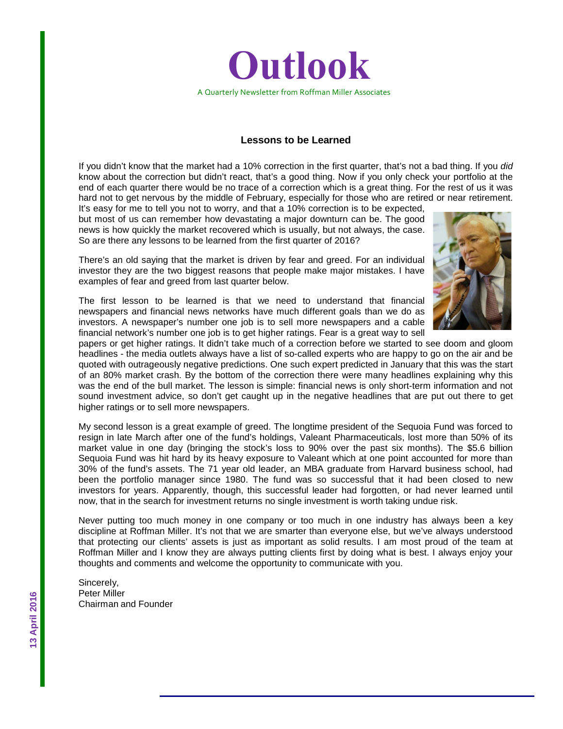

#### **Lessons to be Learned**

If you didn't know that the market had a 10% correction in the first quarter, that's not a bad thing. If you *did* know about the correction but didn't react, that's a good thing. Now if you only check your portfolio at the end of each quarter there would be no trace of a correction which is a great thing. For the rest of us it was hard not to get nervous by the middle of February, especially for those who are retired or near retirement.

It's easy for me to tell you not to worry, and that a 10% correction is to be expected, but most of us can remember how devastating a major downturn can be. The good news is how quickly the market recovered which is usually, but not always, the case. So are there any lessons to be learned from the first quarter of 2016?



There's an old saying that the market is driven by fear and greed. For an individual investor they are the two biggest reasons that people make major mistakes. I have examples of fear and greed from last quarter below.

The first lesson to be learned is that we need to understand that financial newspapers and financial news networks have much different goals than we do as investors. A newspaper's number one job is to sell more newspapers and a cable financial network's number one job is to get higher ratings. Fear is a great way to sell

papers or get higher ratings. It didn't take much of a correction before we started to see doom and gloom headlines - the media outlets always have a list of so-called experts who are happy to go on the air and be quoted with outrageously negative predictions. One such expert predicted in January that this was the start of an 80% market crash. By the bottom of the correction there were many headlines explaining why this was the end of the bull market. The lesson is simple: financial news is only short-term information and not sound investment advice, so don't get caught up in the negative headlines that are put out there to get higher ratings or to sell more newspapers.

My second lesson is a great example of greed. The longtime president of the Sequoia Fund was forced to resign in late March after one of the fund's holdings, Valeant Pharmaceuticals, lost more than 50% of its market value in one day (bringing the stock's loss to 90% over the past six months). The \$5.6 billion Sequoia Fund was hit hard by its heavy exposure to Valeant which at one point accounted for more than 30% of the fund's assets. The 71 year old leader, an MBA graduate from Harvard business school, had been the portfolio manager since 1980. The fund was so successful that it had been closed to new investors for years. Apparently, though, this successful leader had forgotten, or had never learned until now, that in the search for investment returns no single investment is worth taking undue risk.

Never putting too much money in one company or too much in one industry has always been a key discipline at Roffman Miller. It's not that we are smarter than everyone else, but we've always understood that protecting our clients' assets is just as important as solid results. I am most proud of the team at Roffman Miller and I know they are always putting clients first by doing what is best. I always enjoy your thoughts and comments and welcome the opportunity to communicate with you.

Sincerely, Peter Miller Chairman and Founder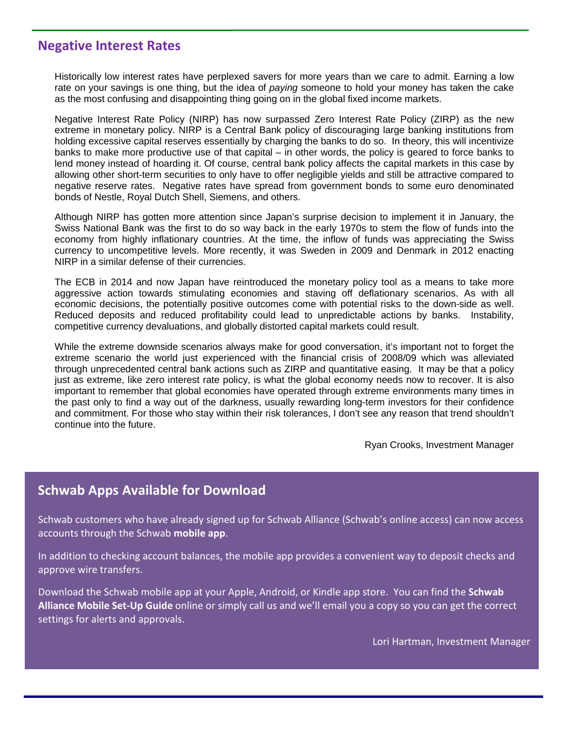#### **Negative Interest Rates**

Historically low interest rates have perplexed savers for more years than we care to admit. Earning a low rate on your savings is one thing, but the idea of *paying* someone to hold your money has taken the cake as the most confusing and disappointing thing going on in the global fixed income markets.

Negative Interest Rate Policy (NIRP) has now surpassed Zero Interest Rate Policy (ZIRP) as the new extreme in monetary policy. NIRP is a Central Bank policy of discouraging large banking institutions from holding excessive capital reserves essentially by charging the banks to do so. In theory, this will incentivize banks to make more productive use of that capital – in other words, the policy is geared to force banks to lend money instead of hoarding it. Of course, central bank policy affects the capital markets in this case by allowing other short-term securities to only have to offer negligible yields and still be attractive compared to negative reserve rates. Negative rates have spread from government bonds to some euro denominated bonds of Nestle, Royal Dutch Shell, Siemens, and others.

Although NIRP has gotten more attention since Japan's surprise decision to implement it in January, the Swiss National Bank was the first to do so way back in the early 1970s to stem the flow of funds into the economy from highly inflationary countries. At the time, the inflow of funds was appreciating the Swiss currency to uncompetitive levels. More recently, it was Sweden in 2009 and Denmark in 2012 enacting NIRP in a similar defense of their currencies.

The ECB in 2014 and now Japan have reintroduced the monetary policy tool as a means to take more aggressive action towards stimulating economies and staving off deflationary scenarios. As with all economic decisions, the potentially positive outcomes come with potential risks to the down-side as well. Reduced deposits and reduced profitability could lead to unpredictable actions by banks. Instability, competitive currency devaluations, and globally distorted capital markets could result.

While the extreme downside scenarios always make for good conversation, it's important not to forget the extreme scenario the world just experienced with the financial crisis of 2008/09 which was alleviated through unprecedented central bank actions such as ZIRP and quantitative easing. It may be that a policy just as extreme, like zero interest rate policy, is what the global economy needs now to recover. It is also important to remember that global economies have operated through extreme environments many times in the past only to find a way out of the darkness, usually rewarding long-term investors for their confidence and commitment. For those who stay within their risk tolerances, I don't see any reason that trend shouldn't continue into the future.

Ryan Crooks, Investment Manager

### **Schwab Apps Available for Download**

Schwab customers who have already signed up for Schwab Alliance (Schwab's online access) can now access accounts through the Schwab **mobile app**.

In addition to checking account balances, the mobile app provides a convenient way to deposit checks and approve wire transfers.

Download the Schwab mobile app at your Apple, Android, or Kindle app store. You can find the **Schwab Alliance Mobile Set-Up Guide** online or simply call us and we'll email you a copy so you can get the correct settings for alerts and approvals.

Lori Hartman, Investment Manager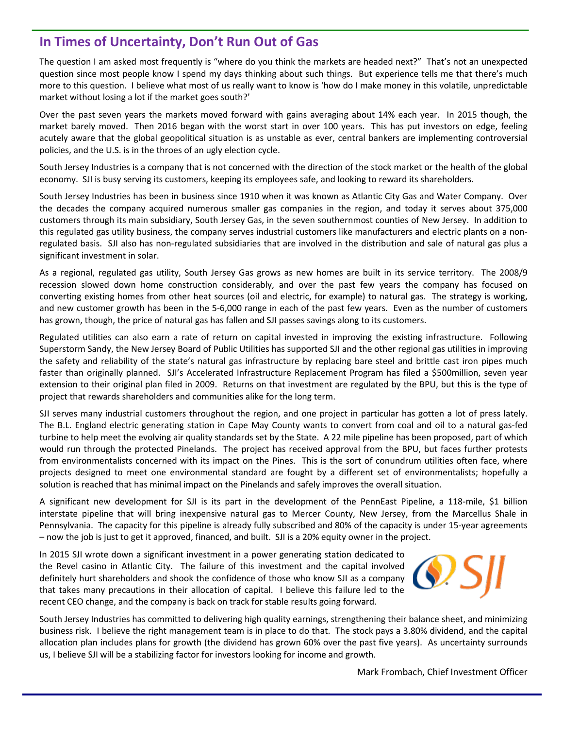# **In Times of Uncertainty, Don't Run Out of Gas**

The question I am asked most frequently is "where do you think the markets are headed next?" That's not an unexpected question since most people know I spend my days thinking about such things. But experience tells me that there's much more to this question. I believe what most of us really want to know is 'how do I make money in this volatile, unpredictable market without losing a lot if the market goes south?'

Over the past seven years the markets moved forward with gains averaging about 14% each year. In 2015 though, the market barely moved. Then 2016 began with the worst start in over 100 years. This has put investors on edge, feeling acutely aware that the global geopolitical situation is as unstable as ever, central bankers are implementing controversial policies, and the U.S. is in the throes of an ugly election cycle.

South Jersey Industries is a company that is not concerned with the direction of the stock market or the health of the global economy. SJI is busy serving its customers, keeping its employees safe, and looking to reward its shareholders.

South Jersey Industries has been in business since 1910 when it was known as Atlantic City Gas and Water Company. Over the decades the company acquired numerous smaller gas companies in the region, and today it serves about 375,000 customers through its main subsidiary, South Jersey Gas, in the seven southernmost counties of New Jersey. In addition to this regulated gas utility business, the company serves industrial customers like manufacturers and electric plants on a nonregulated basis. SJI also has non-regulated subsidiaries that are involved in the distribution and sale of natural gas plus a significant investment in solar.

As a regional, regulated gas utility, South Jersey Gas grows as new homes are built in its service territory. The 2008/9 recession slowed down home construction considerably, and over the past few years the company has focused on converting existing homes from other heat sources (oil and electric, for example) to natural gas. The strategy is working, and new customer growth has been in the 5-6,000 range in each of the past few years. Even as the number of customers has grown, though, the price of natural gas has fallen and SJI passes savings along to its customers.

Regulated utilities can also earn a rate of return on capital invested in improving the existing infrastructure. Following Superstorm Sandy, the New Jersey Board of Public Utilities has supported SJI and the other regional gas utilities in improving the safety and reliability of the state's natural gas infrastructure by replacing bare steel and brittle cast iron pipes much faster than originally planned. SJI's Accelerated Infrastructure Replacement Program has filed a \$500million, seven year extension to their original plan filed in 2009. Returns on that investment are regulated by the BPU, but this is the type of project that rewards shareholders and communities alike for the long term.

SJI serves many industrial customers throughout the region, and one project in particular has gotten a lot of press lately. The B.L. England electric generating station in Cape May County wants to convert from coal and oil to a natural gas-fed turbine to help meet the evolving air quality standards set by the State. A 22 mile pipeline has been proposed, part of which would run through the protected Pinelands. The project has received approval from the BPU, but faces further protests from environmentalists concerned with its impact on the Pines. This is the sort of conundrum utilities often face, where projects designed to meet one environmental standard are fought by a different set of environmentalists; hopefully a solution is reached that has minimal impact on the Pinelands and safely improves the overall situation.

A significant new development for SJI is its part in the development of the PennEast Pipeline, a 118-mile, \$1 billion interstate pipeline that will bring inexpensive natural gas to Mercer County, New Jersey, from the Marcellus Shale in Pennsylvania. The capacity for this pipeline is already fully subscribed and 80% of the capacity is under 15-year agreements – now the job is just to get it approved, financed, and built. SJI is a 20% equity owner in the project.

In 2015 SJI wrote down a significant investment in a power generating station dedicated to the Revel casino in Atlantic City. The failure of this investment and the capital involved definitely hurt shareholders and shook the confidence of those who know SJI as a company that takes many precautions in their allocation of capital. I believe this failure led to the recent CEO change, and the company is back on track for stable results going forward.



South Jersey Industries has committed to delivering high quality earnings, strengthening their balance sheet, and minimizing business risk. I believe the right management team is in place to do that. The stock pays a 3.80% dividend, and the capital allocation plan includes plans for growth (the dividend has grown 60% over the past five years). As uncertainty surrounds us, I believe SJI will be a stabilizing factor for investors looking for income and growth.

Mark Frombach, Chief Investment Officer